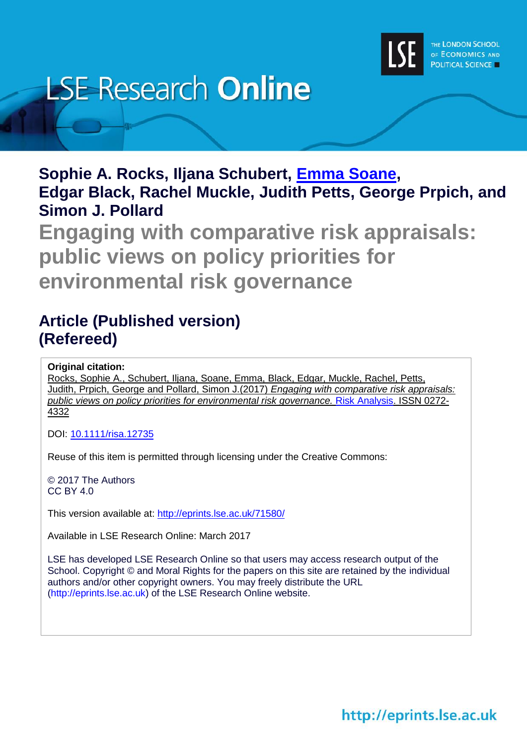

# **LSE Research Online**

**Sophie A. Rocks, Iljana Schubert, [Emma Soane,](http://www.lse.ac.uk/researchAndExpertise/Experts/profile.aspx?KeyValue=e.c.soane@lse.ac.uk) Edgar Black, Rachel Muckle, Judith Petts, George Prpich, and Simon J. Pollard**

**Engaging with comparative risk appraisals: public views on policy priorities for environmental risk governance**

## **Article (Published version) (Refereed)**

**Original citation:**

Rocks, Sophie A., Schubert, Iljana, Soane, Emma, Black, Edgar, Muckle, Rachel, Petts, Judith, Prpich, George and Pollard, Simon J.(2017) *Engaging with comparative risk appraisals: public views on policy priorities for environmental risk governance.* [Risk Analysis.](http://onlinelibrary.wiley.com/journal/10.1111/(ISSN)1539-6924) ISSN 0272- 4332

DOI: [10.1111/risa.12735](http://dx.doi.org/10.1111/risa.12735)

Reuse of this item is permitted through licensing under the Creative Commons:

© 2017 The Authors CC BY 4.0

This version available at: <http://eprints.lse.ac.uk/71580/>

Available in LSE Research Online: March 2017

LSE has developed LSE Research Online so that users may access research output of the School. Copyright © and Moral Rights for the papers on this site are retained by the individual authors and/or other copyright owners. You may freely distribute the URL (http://eprints.lse.ac.uk) of the LSE Research Online website.

http://eprints.lse.ac.uk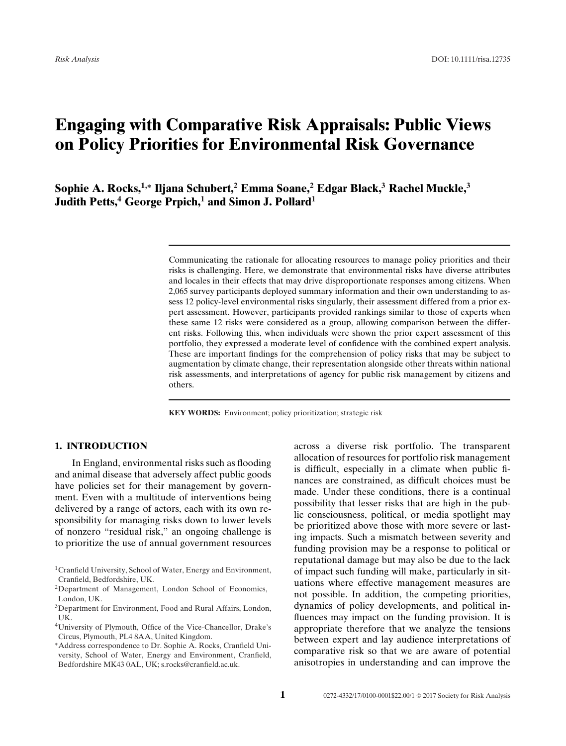### **Engaging with Comparative Risk Appraisals: Public Views on Policy Priorities for Environmental Risk Governance**

**Sophie A. Rocks,1,<sup>∗</sup> Iljana Schubert,2 Emma Soane,<sup>2</sup> Edgar Black,<sup>3</sup> Rachel Muckle,<sup>3</sup> Judith Petts,<sup>4</sup> George Prpich,<sup>1</sup> and Simon J. Pollard<sup>1</sup>**

> Communicating the rationale for allocating resources to manage policy priorities and their risks is challenging. Here, we demonstrate that environmental risks have diverse attributes and locales in their effects that may drive disproportionate responses among citizens. When 2,065 survey participants deployed summary information and their own understanding to assess 12 policy-level environmental risks singularly, their assessment differed from a prior expert assessment. However, participants provided rankings similar to those of experts when these same 12 risks were considered as a group, allowing comparison between the different risks. Following this, when individuals were shown the prior expert assessment of this portfolio, they expressed a moderate level of confidence with the combined expert analysis. These are important findings for the comprehension of policy risks that may be subject to augmentation by climate change, their representation alongside other threats within national risk assessments, and interpretations of agency for public risk management by citizens and others.

**KEY WORDS:** Environment; policy prioritization; strategic risk

#### **1. INTRODUCTION**

In England, environmental risks such as flooding and animal disease that adversely affect public goods have policies set for their management by government. Even with a multitude of interventions being delivered by a range of actors, each with its own responsibility for managing risks down to lower levels of nonzero "residual risk," an ongoing challenge is to prioritize the use of annual government resources across a diverse risk portfolio. The transparent allocation of resources for portfolio risk management is difficult, especially in a climate when public finances are constrained, as difficult choices must be made. Under these conditions, there is a continual possibility that lesser risks that are high in the public consciousness, political, or media spotlight may be prioritized above those with more severe or lasting impacts. Such a mismatch between severity and funding provision may be a response to political or reputational damage but may also be due to the lack of impact such funding will make, particularly in situations where effective management measures are not possible. In addition, the competing priorities, dynamics of policy developments, and political influences may impact on the funding provision. It is appropriate therefore that we analyze the tensions between expert and lay audience interpretations of comparative risk so that we are aware of potential anisotropies in understanding and can improve the

<sup>1</sup>Cranfield University, School of Water, Energy and Environment, Cranfield, Bedfordshire, UK.

<sup>2</sup>Department of Management, London School of Economics, London, UK.

<sup>3</sup>Department for Environment, Food and Rural Affairs, London, UK.

<sup>4</sup>University of Plymouth, Office of the Vice-Chancellor, Drake's Circus, Plymouth, PL4 8AA, United Kingdom.

<sup>∗</sup>Address correspondence to Dr. Sophie A. Rocks, Cranfield University, School of Water, Energy and Environment, Cranfield, Bedfordshire MK43 0AL, UK; s.rocks@cranfield.ac.uk.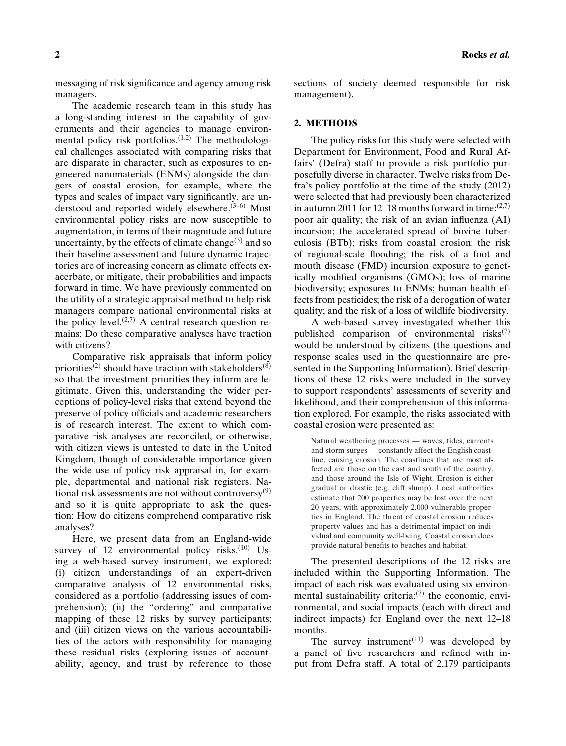messaging of risk significance and agency among risk managers.

The academic research team in this study has a long-standing interest in the capability of governments and their agencies to manage environmental policy risk portfolios. $(1,2)$  The methodological challenges associated with comparing risks that are disparate in character, such as exposures to engineered nanomaterials (ENMs) alongside the dangers of coastal erosion, for example, where the types and scales of impact vary significantly, are understood and reported widely elsewhere.(3–6) Most environmental policy risks are now susceptible to augmentation, in terms of their magnitude and future uncertainty, by the effects of climate change $(3)$  and so their baseline assessment and future dynamic trajectories are of increasing concern as climate effects exacerbate, or mitigate, their probabilities and impacts forward in time. We have previously commented on the utility of a strategic appraisal method to help risk managers compare national environmental risks at the policy level. $(2,7)$  A central research question remains: Do these comparative analyses have traction with citizens?

Comparative risk appraisals that inform policy priorities<sup>(2)</sup> should have traction with stakeholders<sup>(8)</sup> so that the investment priorities they inform are legitimate. Given this, understanding the wider perceptions of policy-level risks that extend beyond the preserve of policy officials and academic researchers is of research interest. The extent to which comparative risk analyses are reconciled, or otherwise, with citizen views is untested to date in the United Kingdom, though of considerable importance given the wide use of policy risk appraisal in, for example, departmental and national risk registers. National risk assessments are not without controversy $(9)$ and so it is quite appropriate to ask the question: How do citizens comprehend comparative risk analyses?

Here, we present data from an England-wide survey of 12 environmental policy risks. $(10)$  Using a web-based survey instrument, we explored: (i) citizen understandings of an expert-driven comparative analysis of 12 environmental risks, considered as a portfolio (addressing issues of comprehension); (ii) the "ordering" and comparative mapping of these 12 risks by survey participants; and (iii) citizen views on the various accountabilities of the actors with responsibility for managing these residual risks (exploring issues of accountability, agency, and trust by reference to those sections of society deemed responsible for risk management).

#### **2. METHODS**

The policy risks for this study were selected with Department for Environment, Food and Rural Affairs' (Defra) staff to provide a risk portfolio purposefully diverse in character. Twelve risks from Defra's policy portfolio at the time of the study (2012) were selected that had previously been characterized in autumn 2011 for 12–18 months forward in time:  $(2,7)$ poor air quality; the risk of an avian influenza (AI) incursion; the accelerated spread of bovine tuberculosis (BTb); risks from coastal erosion; the risk of regional-scale flooding; the risk of a foot and mouth disease (FMD) incursion exposure to genetically modified organisms (GMOs); loss of marine biodiversity; exposures to ENMs; human health effects from pesticides; the risk of a derogation of water quality; and the risk of a loss of wildlife biodiversity.

A web-based survey investigated whether this published comparison of environmental risks $(7)$ would be understood by citizens (the questions and response scales used in the questionnaire are presented in the Supporting Information). Brief descriptions of these 12 risks were included in the survey to support respondents' assessments of severity and likelihood, and their comprehension of this information explored. For example, the risks associated with coastal erosion were presented as:

Natural weathering processes — waves, tides, currents and storm surges — constantly affect the English coastline, causing erosion. The coastlines that are most affected are those on the east and south of the country, and those around the Isle of Wight. Erosion is either gradual or drastic (e.g. cliff slump). Local authorities estimate that 200 properties may be lost over the next 20 years, with approximately 2,000 vulnerable properties in England. The threat of coastal erosion reduces property values and has a detrimental impact on individual and community well-being. Coastal erosion does provide natural benefits to beaches and habitat.

The presented descriptions of the 12 risks are included within the Supporting Information. The impact of each risk was evaluated using six environmental sustainability criteria: $(7)$  the economic, environmental, and social impacts (each with direct and indirect impacts) for England over the next 12–18 months.

The survey instrument $(11)$  was developed by a panel of five researchers and refined with input from Defra staff. A total of 2,179 participants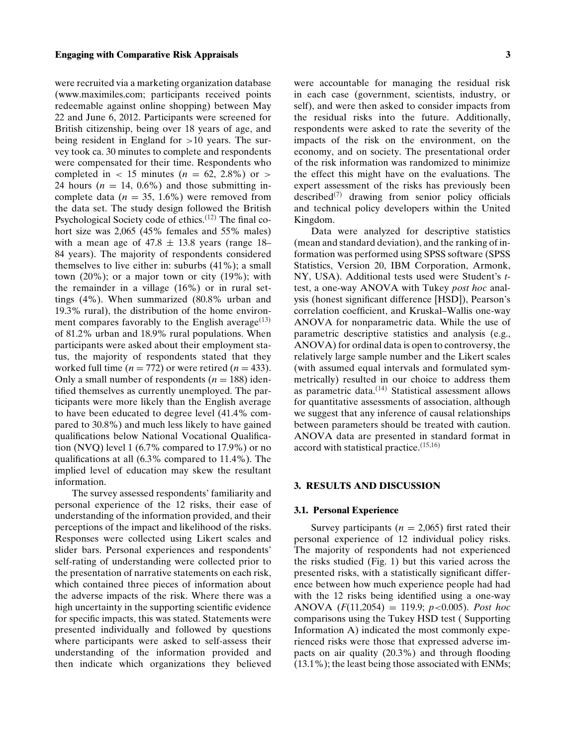#### **Engaging with Comparative Risk Appraisals 3**

were recruited via a marketing organization database [\(www.maximiles.com;](http://www.maximiles.com;) participants received points redeemable against online shopping) between May 22 and June 6, 2012. Participants were screened for British citizenship, being over 18 years of age, and being resident in England for *>*10 years. The survey took ca. 30 minutes to complete and respondents were compensated for their time. Respondents who completed in  $\langle$  15 minutes ( $n = 62, 2.8\%$ ) or  $\langle$ 24 hours  $(n = 14, 0.6\%)$  and those submitting incomplete data  $(n = 35, 1.6\%)$  were removed from the data set. The study design followed the British Psychological Society code of ethics.(12) The final cohort size was 2,065 (45% females and 55% males) with a mean age of  $47.8 \pm 13.8$  years (range 18– 84 years). The majority of respondents considered themselves to live either in: suburbs (41%); a small town (20%); or a major town or city (19%); with the remainder in a village (16%) or in rural settings (4%). When summarized (80.8% urban and 19.3% rural), the distribution of the home environment compares favorably to the English average $(13)$ of 81.2% urban and 18.9% rural populations. When participants were asked about their employment status, the majority of respondents stated that they worked full time  $(n = 772)$  or were retired  $(n = 433)$ . Only a small number of respondents  $(n = 188)$  identified themselves as currently unemployed. The participants were more likely than the English average to have been educated to degree level (41.4% compared to 30.8%) and much less likely to have gained qualifications below National Vocational Qualification (NVQ) level 1 (6.7% compared to 17.9%) or no qualifications at all (6.3% compared to 11.4%). The implied level of education may skew the resultant information.

The survey assessed respondents' familiarity and personal experience of the 12 risks, their ease of understanding of the information provided, and their perceptions of the impact and likelihood of the risks. Responses were collected using Likert scales and slider bars. Personal experiences and respondents' self-rating of understanding were collected prior to the presentation of narrative statements on each risk, which contained three pieces of information about the adverse impacts of the risk. Where there was a high uncertainty in the supporting scientific evidence for specific impacts, this was stated. Statements were presented individually and followed by questions where participants were asked to self-assess their understanding of the information provided and then indicate which organizations they believed

were accountable for managing the residual risk in each case (government, scientists, industry, or self), and were then asked to consider impacts from the residual risks into the future. Additionally, respondents were asked to rate the severity of the impacts of the risk on the environment, on the economy, and on society. The presentational order of the risk information was randomized to minimize the effect this might have on the evaluations. The expert assessment of the risks has previously been described<sup>(7)</sup> drawing from senior policy officials and technical policy developers within the United Kingdom.

Data were analyzed for descriptive statistics (mean and standard deviation), and the ranking of information was performed using SPSS software (SPSS Statistics, Version 20, IBM Corporation, Armonk, NY, USA). Additional tests used were Student's *t*test, a one-way ANOVA with Tukey *post hoc* analysis (honest significant difference [HSD]), Pearson's correlation coefficient, and Kruskal–Wallis one-way ANOVA for nonparametric data. While the use of parametric descriptive statistics and analysis (e.g., ANOVA) for ordinal data is open to controversy, the relatively large sample number and the Likert scales (with assumed equal intervals and formulated symmetrically) resulted in our choice to address them as parametric data. $(14)$  Statistical assessment allows for quantitative assessments of association, although we suggest that any inference of causal relationships between parameters should be treated with caution. ANOVA data are presented in standard format in accord with statistical practice.(15,16)

#### **3. RESULTS AND DISCUSSION**

#### **3.1. Personal Experience**

Survey participants ( $n = 2,065$ ) first rated their personal experience of 12 individual policy risks. The majority of respondents had not experienced the risks studied (Fig. 1) but this varied across the presented risks, with a statistically significant difference between how much experience people had had with the 12 risks being identified using a one-way ANOVA (*F*(11,2054) = 119.9; *p<*0.005). *Post hoc* comparisons using the Tukey HSD test ( Supporting Information A) indicated the most commonly experienced risks were those that expressed adverse impacts on air quality (20.3%) and through flooding (13.1%); the least being those associated with ENMs;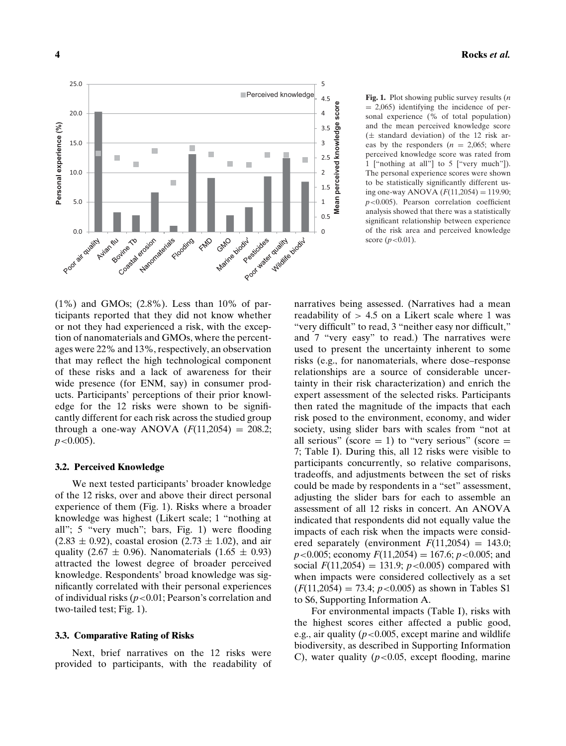

Perceived knowledge **Fig. 1.** Plot showing public survey results (*n* = 2,065) identifying the incidence of personal experience (% of total population)  $= 2,065$ ) identifying the incidence of personal experience (% of total population) and the mean perceived knowledge score  $(\pm$  standard deviation) of the 12 risk areas by the responders  $(n = 2,065;$  where perceived knowledge score was rated from 1 ["nothing at all"] to 5 ["very much"]). The personal experience scores were shown to be statistically significantly different using one-way ANOVA  $(F(11,2054) = 119.90)$ ; *p<*0.005). Pearson correlation coefficient analysis showed that there was a statistically significant relationship between experience of the risk area and perceived knowledge score (*p<*0.01).

(1%) and GMOs; (2.8%). Less than 10% of participants reported that they did not know whether or not they had experienced a risk, with the exception of nanomaterials and GMOs, where the percentages were 22% and 13%, respectively, an observation that may reflect the high technological component of these risks and a lack of awareness for their wide presence (for ENM, say) in consumer products. Participants' perceptions of their prior knowledge for the 12 risks were shown to be significantly different for each risk across the studied group through a one-way ANOVA  $(F(11,2054) = 208.2;$ *p<*0.005).

#### **3.2. Perceived Knowledge**

We next tested participants' broader knowledge of the 12 risks, over and above their direct personal experience of them (Fig. 1). Risks where a broader knowledge was highest (Likert scale; 1 "nothing at all"; 5 "very much"; bars, Fig. 1) were flooding  $(2.83 \pm 0.92)$ , coastal erosion  $(2.73 \pm 1.02)$ , and air quality (2.67  $\pm$  0.96). Nanomaterials (1.65  $\pm$  0.93) attracted the lowest degree of broader perceived knowledge. Respondents' broad knowledge was significantly correlated with their personal experiences of individual risks (*p<*0.01; Pearson's correlation and two-tailed test; Fig. 1).

#### **3.3. Comparative Rating of Risks**

Next, brief narratives on the 12 risks were provided to participants, with the readability of narratives being assessed. (Narratives had a mean readability of *>* 4.5 on a Likert scale where 1 was "very difficult" to read, 3 "neither easy nor difficult," and 7 "very easy" to read.) The narratives were used to present the uncertainty inherent to some risks (e.g., for nanomaterials, where dose–response relationships are a source of considerable uncertainty in their risk characterization) and enrich the expert assessment of the selected risks. Participants then rated the magnitude of the impacts that each risk posed to the environment, economy, and wider society, using slider bars with scales from "not at all serious" (score  $= 1$ ) to "very serious" (score  $=$ 7; Table I). During this, all 12 risks were visible to participants concurrently, so relative comparisons, tradeoffs, and adjustments between the set of risks could be made by respondents in a "set" assessment, adjusting the slider bars for each to assemble an assessment of all 12 risks in concert. An ANOVA indicated that respondents did not equally value the impacts of each risk when the impacts were considered separately (environment  $F(11,2054) = 143.0$ ; *p<*0.005; economy *F*(11,2054) = 167.6; *p<*0.005; and social  $F(11,2054) = 131.9; p < 0.005$  compared with when impacts were considered collectively as a set  $(F(11,2054) = 73.4; p < 0.005)$  as shown in Tables S1 to S6, Supporting Information A.

For environmental impacts (Table I), risks with the highest scores either affected a public good, e.g., air quality (*p<*0.005, except marine and wildlife biodiversity, as described in Supporting Information C), water quality (*p<*0.05, except flooding, marine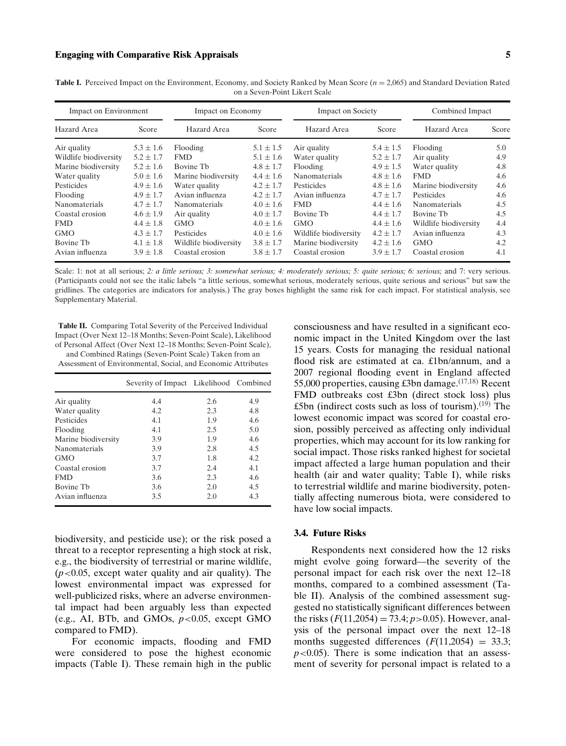| Impact on Environment |               | Impact on Economy     |               | <b>Impact on Society</b> |               | Combined Impact       |       |
|-----------------------|---------------|-----------------------|---------------|--------------------------|---------------|-----------------------|-------|
| Hazard Area           | Score         | Hazard Area           | Score         | Hazard Area              | Score         | Hazard Area           | Score |
| Air quality           | $5.3 \pm 1.6$ | Flooding              | $5.1 \pm 1.5$ | Air quality              | $5.4 \pm 1.5$ | Flooding              | 5.0   |
| Wildlife biodiversity | $5.2 \pm 1.7$ | <b>FMD</b>            | $5.1 \pm 1.6$ | Water quality            | $5.2 \pm 1.7$ | Air quality           | 4.9   |
| Marine biodiversity   | $5.2 \pm 1.6$ | Bovine Th             | $4.8 \pm 1.7$ | Flooding                 | $4.9 \pm 1.5$ | Water quality         | 4.8   |
| Water quality         | $5.0 \pm 1.6$ | Marine biodiversity   | $4.4 \pm 1.6$ | Nanomaterials            | $4.8 \pm 1.6$ | <b>FMD</b>            | 4.6   |
| Pesticides            | $4.9 \pm 1.6$ | Water quality         | $4.2 + 1.7$   | <b>Pesticides</b>        | $4.8 \pm 1.6$ | Marine biodiversity   | 4.6   |
| Flooding              | $4.9 \pm 1.7$ | Avian influenza       | $4.2 \pm 1.7$ | Avian influenza          | $4.7 \pm 1.7$ | Pesticides            | 4.6   |
| Nanomaterials         | $4.7 \pm 1.7$ | <b>Nanomaterials</b>  | $4.0 \pm 1.6$ | <b>FMD</b>               | $4.4 \pm 1.6$ | <b>Nanomaterials</b>  | 4.5   |
| Coastal erosion       | $4.6 \pm 1.9$ | Air quality           | $4.0 \pm 1.7$ | Bovine Th                | $4.4 \pm 1.7$ | Bovine Th             | 4.5   |
| <b>FMD</b>            | $4.4 \pm 1.8$ | <b>GMO</b>            | $4.0 \pm 1.6$ | <b>GMO</b>               | $4.4 \pm 1.6$ | Wildlife biodiversity | 4.4   |
| <b>GMO</b>            | $4.3 + 1.7$   | Pesticides            | $4.0 \pm 1.6$ | Wildlife biodiversity    | $4.2 \pm 1.7$ | Avian influenza       | 4.3   |
| Bovine Tb             | $4.1 \pm 1.8$ | Wildlife biodiversity | $3.8 \pm 1.7$ | Marine biodiversity      | $4.2 \pm 1.6$ | <b>GMO</b>            | 4.2   |
| Avian influenza       | $3.9 \pm 1.8$ | Coastal erosion       | $3.8 + 1.7$   | Coastal erosion          | $3.9 + 1.7$   | Coastal erosion       | 4.1   |

**Table I.** Perceived Impact on the Environment, Economy, and Society Ranked by Mean Score (*n* = 2,065) and Standard Deviation Rated on a Seven-Point Likert Scale

Scale: 1: not at all serious; 2: a little serious; 3: somewhat serious; 4: moderately serious; 5: quite serious; 6: serious; and 7: very serious. (Participants could not see the italic labels "a little serious, somewhat serious, moderately serious, quite serious and serious" but saw the gridlines. The categories are indicators for analysis.) The gray boxes highlight the same risk for each impact. For statistical analysis, see Supplementary Material.

**Table II.** Comparing Total Severity of the Perceived Individual Impact (Over Next 12–18 Months; Seven-Point Scale), Likelihood of Personal Affect (Over Next 12–18 Months; Seven-Point Scale),

and Combined Ratings (Seven-Point Scale) Taken from an Assessment of Environmental, Social, and Economic Attributes

|                     | Severity of Impact Likelihood Combined |     |     |
|---------------------|----------------------------------------|-----|-----|
| Air quality         | 4.4                                    | 2.6 | 4.9 |
| Water quality       | 4.2                                    | 2.3 | 4.8 |
| Pesticides          | 4.1                                    | 1.9 | 4.6 |
| Flooding            | 4.1                                    | 2.5 | 5.0 |
| Marine biodiversity | 3.9                                    | 1.9 | 4.6 |
| Nanomaterials       | 3.9                                    | 2.8 | 4.5 |
| <b>GMO</b>          | 3.7                                    | 1.8 | 4.2 |
| Coastal erosion     | 3.7                                    | 2.4 | 4.1 |
| <b>FMD</b>          | 3.6                                    | 2.3 | 4.6 |
| Bovine Th           | 3.6                                    | 2.0 | 4.5 |
| Avian influenza     | 3.5                                    | 2.0 | 4.3 |

biodiversity, and pesticide use); or the risk posed a threat to a receptor representing a high stock at risk, e.g., the biodiversity of terrestrial or marine wildlife, (*p<*0.05, except water quality and air quality). The lowest environmental impact was expressed for well-publicized risks, where an adverse environmental impact had been arguably less than expected (e.g., AI, BTb, and GMOs, *p<*0.05, except GMO compared to FMD).

For economic impacts, flooding and FMD were considered to pose the highest economic impacts (Table I). These remain high in the public

consciousness and have resulted in a significant economic impact in the United Kingdom over the last 15 years. Costs for managing the residual national flood risk are estimated at ca. £1bn/annum, and a 2007 regional flooding event in England affected 55,000 properties, causing £3bn damage.<sup> $(17,18)$ </sup> Recent FMD outbreaks cost £3bn (direct stock loss) plus £5bn (indirect costs such as loss of tourism).<sup>(19)</sup> The lowest economic impact was scored for coastal erosion, possibly perceived as affecting only individual properties, which may account for its low ranking for social impact. Those risks ranked highest for societal impact affected a large human population and their health (air and water quality; Table I), while risks to terrestrial wildlife and marine biodiversity, potentially affecting numerous biota, were considered to have low social impacts.

#### **3.4. Future Risks**

Respondents next considered how the 12 risks might evolve going forward––the severity of the personal impact for each risk over the next 12–18 months, compared to a combined assessment (Table II). Analysis of the combined assessment suggested no statistically significant differences between the risks  $(F(11,2054) = 73.4; p > 0.05)$ . However, analysis of the personal impact over the next 12–18 months suggested differences  $(F(11,2054) = 33.3;$ *p<*0.05). There is some indication that an assessment of severity for personal impact is related to a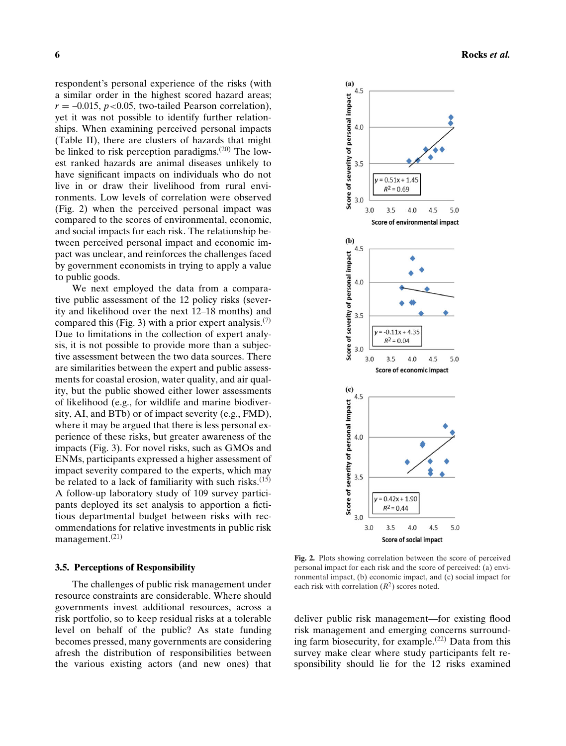respondent's personal experience of the risks (with a similar order in the highest scored hazard areas;  $r = -0.015$ ,  $p < 0.05$ , two-tailed Pearson correlation), yet it was not possible to identify further relationships. When examining perceived personal impacts (Table II), there are clusters of hazards that might be linked to risk perception paradigms.(20) The lowest ranked hazards are animal diseases unlikely to have significant impacts on individuals who do not live in or draw their livelihood from rural environments. Low levels of correlation were observed (Fig. 2) when the perceived personal impact was compared to the scores of environmental, economic, and social impacts for each risk. The relationship between perceived personal impact and economic impact was unclear, and reinforces the challenges faced by government economists in trying to apply a value to public goods.

We next employed the data from a comparative public assessment of the 12 policy risks (severity and likelihood over the next 12–18 months) and compared this (Fig. 3) with a prior expert analysis.<sup>(7)</sup> Due to limitations in the collection of expert analysis, it is not possible to provide more than a subjective assessment between the two data sources. There are similarities between the expert and public assessments for coastal erosion, water quality, and air quality, but the public showed either lower assessments of likelihood (e.g., for wildlife and marine biodiversity, AI, and BTb) or of impact severity (e.g., FMD), where it may be argued that there is less personal experience of these risks, but greater awareness of the impacts (Fig. 3). For novel risks, such as GMOs and ENMs, participants expressed a higher assessment of impact severity compared to the experts, which may be related to a lack of familiarity with such risks. $(15)$ A follow-up laboratory study of 109 survey participants deployed its set analysis to apportion a fictitious departmental budget between risks with recommendations for relative investments in public risk management. $(21)$ 

#### **3.5. Perceptions of Responsibility**

The challenges of public risk management under resource constraints are considerable. Where should governments invest additional resources, across a risk portfolio, so to keep residual risks at a tolerable level on behalf of the public? As state funding becomes pressed, many governments are considering afresh the distribution of responsibilities between the various existing actors (and new ones) that



**Fig. 2.** Plots showing correlation between the score of perceived personal impact for each risk and the score of perceived: (a) environmental impact, (b) economic impact, and (c) social impact for each risk with correlation  $(R^2)$  scores noted.

deliver public risk management––for existing flood risk management and emerging concerns surrounding farm biosecurity, for example.<sup> $(22)$ </sup> Data from this survey make clear where study participants felt responsibility should lie for the 12 risks examined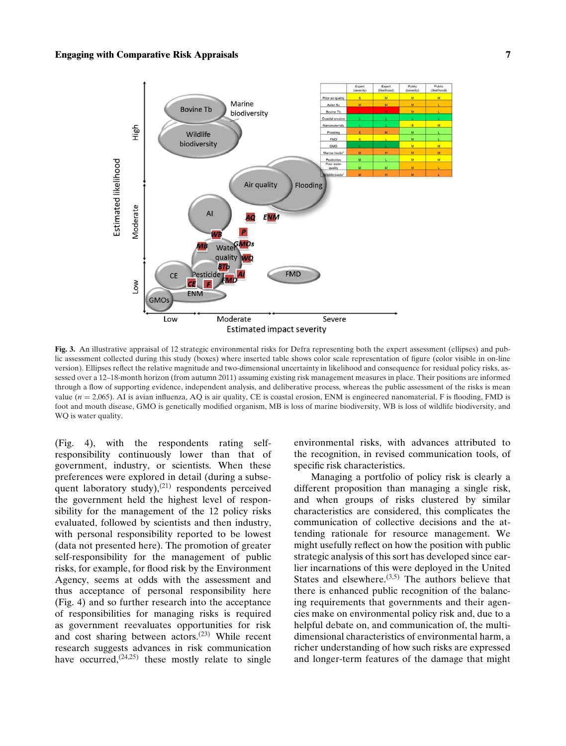#### **Engaging with Comparative Risk Appraisals 7**



**Fig. 3.** An illustrative appraisal of 12 strategic environmental risks for Defra representing both the expert assessment (ellipses) and public assessment collected during this study (boxes) where inserted table shows color scale representation of figure (color visible in on-line version). Ellipses reflect the relative magnitude and two-dimensional uncertainty in likelihood and consequence for residual policy risks, assessed over a 12–18-month horizon (from autumn 2011) assuming existing risk management measures in place. Their positions are informed through a flow of supporting evidence, independent analysis, and deliberative process, whereas the public assessment of the risks is mean value  $(n = 2,065)$ . AI is avian influenza, AQ is air quality, CE is coastal erosion, ENM is engineered nanomaterial, F is flooding, FMD is foot and mouth disease, GMO is genetically modified organism, MB is loss of marine biodiversity, WB is loss of wildlife biodiversity, and WQ is water quality.

(Fig. 4), with the respondents rating selfresponsibility continuously lower than that of government, industry, or scientists. When these preferences were explored in detail (during a subsequent laboratory study), $(21)$  respondents perceived the government held the highest level of responsibility for the management of the 12 policy risks evaluated, followed by scientists and then industry, with personal responsibility reported to be lowest (data not presented here). The promotion of greater self-responsibility for the management of public risks, for example, for flood risk by the Environment Agency, seems at odds with the assessment and thus acceptance of personal responsibility here (Fig. 4) and so further research into the acceptance of responsibilities for managing risks is required as government reevaluates opportunities for risk and cost sharing between actors.(23) While recent research suggests advances in risk communication have occurred, $(24,25)$  these mostly relate to single

environmental risks, with advances attributed to the recognition, in revised communication tools, of specific risk characteristics.

Managing a portfolio of policy risk is clearly a different proposition than managing a single risk, and when groups of risks clustered by similar characteristics are considered, this complicates the communication of collective decisions and the attending rationale for resource management. We might usefully reflect on how the position with public strategic analysis of this sort has developed since earlier incarnations of this were deployed in the United States and elsewhere.  $(3,5)$  The authors believe that there is enhanced public recognition of the balancing requirements that governments and their agencies make on environmental policy risk and, due to a helpful debate on, and communication of, the multidimensional characteristics of environmental harm, a richer understanding of how such risks are expressed and longer-term features of the damage that might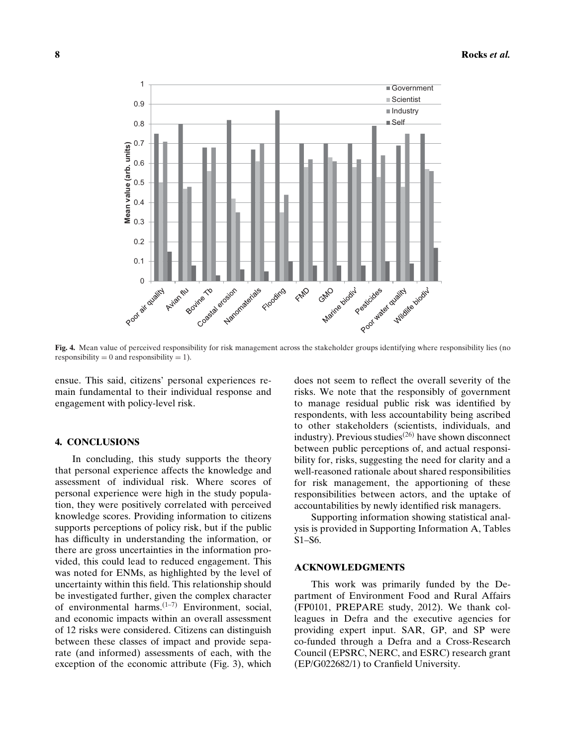

**Fig. 4.** Mean value of perceived responsibility for risk management across the stakeholder groups identifying where responsibility lies (no responsibility = 0 and responsibility = 1).

ensue. This said, citizens' personal experiences remain fundamental to their individual response and engagement with policy-level risk.

#### **4. CONCLUSIONS**

In concluding, this study supports the theory that personal experience affects the knowledge and assessment of individual risk. Where scores of personal experience were high in the study population, they were positively correlated with perceived knowledge scores. Providing information to citizens supports perceptions of policy risk, but if the public has difficulty in understanding the information, or there are gross uncertainties in the information provided, this could lead to reduced engagement. This was noted for ENMs, as highlighted by the level of uncertainty within this field. This relationship should be investigated further, given the complex character of environmental harms. $(1-7)$  Environment, social, and economic impacts within an overall assessment of 12 risks were considered. Citizens can distinguish between these classes of impact and provide separate (and informed) assessments of each, with the exception of the economic attribute (Fig. 3), which

does not seem to reflect the overall severity of the risks. We note that the responsibly of government to manage residual public risk was identified by respondents, with less accountability being ascribed to other stakeholders (scientists, individuals, and industry). Previous studies<sup>(26)</sup> have shown disconnect between public perceptions of, and actual responsibility for, risks, suggesting the need for clarity and a well-reasoned rationale about shared responsibilities for risk management, the apportioning of these responsibilities between actors, and the uptake of accountabilities by newly identified risk managers.

Supporting information showing statistical analysis is provided in Supporting Information A, Tables S1–S6.

#### **ACKNOWLEDGMENTS**

This work was primarily funded by the Department of Environment Food and Rural Affairs (FP0101, PREPARE study, 2012). We thank colleagues in Defra and the executive agencies for providing expert input. SAR, GP, and SP were co-funded through a Defra and a Cross-Research Council (EPSRC, NERC, and ESRC) research grant (EP/G022682/1) to Cranfield University.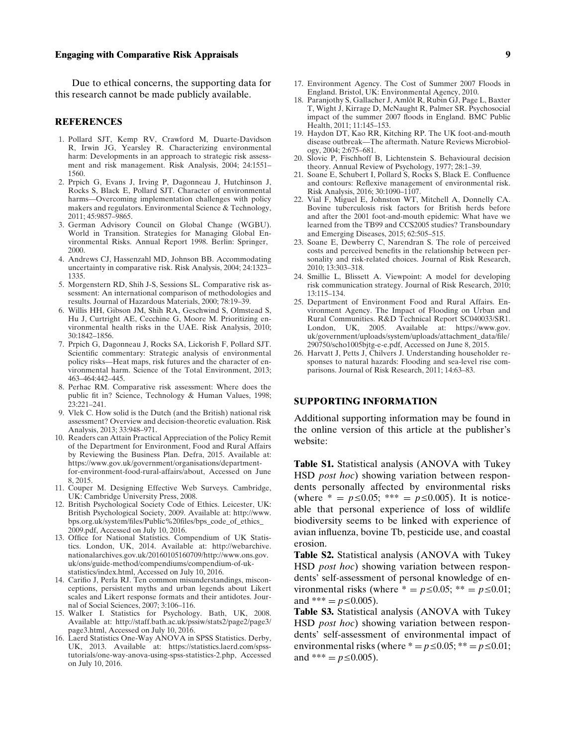#### **Engaging with Comparative Risk Appraisals 9**

Due to ethical concerns, the supporting data for this research cannot be made publicly available.

#### **REFERENCES**

- 1. Pollard SJT, Kemp RV, Crawford M, Duarte-Davidson R, Irwin JG, Yearsley R. Characterizing environmental harm: Developments in an approach to strategic risk assessment and risk management. Risk Analysis, 2004; 24:1551– 1560.
- 2. Prpich G, Evans J, Irving P, Dagonneau J, Hutchinson J, Rocks S, Black E, Pollard SJT. Character of environmental harms—Overcoming implementation challenges with policy makers and regulators. Environmental Science & Technology, 2011; 45:9857–9865.
- 3. German Advisory Council on Global Change (WGBU). World in Transition. Strategies for Managing Global Environmental Risks. Annual Report 1998. Berlin: Springer, 2000.
- 4. Andrews CJ, Hassenzahl MD, Johnson BB. Accommodating uncertainty in comparative risk. Risk Analysis, 2004; 24:1323– 1335.
- 5. Morgenstern RD, Shih J-S, Sessions SL. Comparative risk assessment: An international comparison of methodologies and results. Journal of Hazardous Materials, 2000; 78:19–39.
- 6. Willis HH, Gibson JM, Shih RA, Geschwind S, Olmstead S, Hu J, Curtright AE, Cecchine G, Moore M. Prioritizing environmental health risks in the UAE. Risk Analysis, 2010; 30:1842–1856.
- 7. Prpich G, Dagonneau J, Rocks SA, Lickorish F, Pollard SJT. Scientific commentary: Strategic analysis of environmental policy risks—Heat maps, risk futures and the character of environmental harm. Science of the Total Environment, 2013; 463–464:442–445.
- 8. Perhac RM. Comparative risk assessment: Where does the public fit in? Science, Technology & Human Values, 1998;  $23:221 - 241$ .
- 9. Vlek C. How solid is the Dutch (and the British) national risk assessment? Overview and decision-theoretic evaluation. Risk Analysis, 2013; 33:948–971.
- 10. Readers can Attain Practical Appreciation of the Policy Remit of the Department for Environment, Food and Rural Affairs by Reviewing the Business Plan. Defra, 2015. Available at: [https://www.gov.uk/government/organisations/department](https://www.gov.uk/government/organisations/department-for-environment-food-rural-affairs/about)[for-environment-food-rural-affairs/about,](https://www.gov.uk/government/organisations/department-for-environment-food-rural-affairs/about) Accessed on June 8, 2015.
- 11. Couper M. Designing Effective Web Surveys. Cambridge, UK: Cambridge University Press, 2008.
- 12. British Psychological Society Code of Ethics. Leicester, UK: British Psychological Society, 2009. Available at: [http://www.](http://www.bps.org.uk/system/files/Public%20files/bps_code_of_ethics_2009.pdf) [bps.org.uk/system/files/Public%20files/bps\\_code\\_of\\_ethics\\_](http://www.bps.org.uk/system/files/Public%20files/bps_code_of_ethics_2009.pdf) [2009.pdf,](http://www.bps.org.uk/system/files/Public%20files/bps_code_of_ethics_2009.pdf) Accessed on July 10, 2016.
- 13. Office for National Statistics. Compendium of UK Statistics. London, UK, 2014. Available at: [http://webarchive.](http://webarchive.nationalarchives.gov.uk/20160105160709/http://www.ons.gov.uk/ons/guide-method/compendiums/compendium-of-uk-statistics/index.html) [nationalarchives.gov.uk/20160105160709/http://www.ons.gov.](http://webarchive.nationalarchives.gov.uk/20160105160709/http://www.ons.gov.uk/ons/guide-method/compendiums/compendium-of-uk-statistics/index.html) [uk/ons/guide-method/compendiums/compendium-of-uk](http://webarchive.nationalarchives.gov.uk/20160105160709/http://www.ons.gov.uk/ons/guide-method/compendiums/compendium-of-uk-statistics/index.html)[statistics/index.html,](http://webarchive.nationalarchives.gov.uk/20160105160709/http://www.ons.gov.uk/ons/guide-method/compendiums/compendium-of-uk-statistics/index.html) Accessed on July 10, 2016.
- 14. Carifio J, Perla RJ. Ten common misunderstandings, misconceptions, persistent myths and urban legends about Likert scales and Likert response formats and their antidotes. Journal of Social Sciences, 2007; 3:106–116.
- 15. Walker I. Statistics for Psychology. Bath, UK, 2008. Available at: [http://staff.bath.ac.uk/pssiw/stats2/page2/page3/](http://staff.bath.ac.uk/pssiw/stats2/page2/page3/page3.html) [page3.html,](http://staff.bath.ac.uk/pssiw/stats2/page2/page3/page3.html) Accessed on July 10, 2016.
- 16. Laerd Statistics One-Way ANOVA in SPSS Statistics. Derby, UK, 2013. Available at: [https://statistics.laerd.com/spss](https://statistics.laerd.com/spss-tutorials/one-way-anova-using-spss-statistics-2.php)[tutorials/one-way-anova-using-spss-statistics-2.php,](https://statistics.laerd.com/spss-tutorials/one-way-anova-using-spss-statistics-2.php) Accessed on July 10, 2016.
- 17. Environment Agency. The Cost of Summer 2007 Floods in England. Bristol, UK: Environmental Agency, 2010.
- 18. Paranjothy S, Gallacher J, Amlôt R, Rubin GJ, Page L, Baxter T, Wight J, Kirrage D, McNaught R, Palmer SR. Psychosocial impact of the summer 2007 floods in England. BMC Public Health, 2011; 11:145–153.
- 19. Haydon DT, Kao RR, Kitching RP. The UK foot-and-mouth disease outbreak—The aftermath. Nature Reviews Microbiology, 2004; 2:675–681.
- 20. Slovic P, Fischhoff B, Lichtenstein S. Behavioural decision theory. Annual Review of Psychology, 1977; 28:1–39.
- 21. Soane E, Schubert I, Pollard S, Rocks S, Black E. Confluence and contours: Reflexive management of environmental risk. Risk Analysis, 2016; 30:1090–1107.
- 22. Vial F, Miguel E, Johnston WT, Mitchell A, Donnelly CA. Bovine tuberculosis risk factors for British herds before and after the 2001 foot-and-mouth epidemic: What have we learned from the TB99 and CCS2005 studies? Transboundary and Emerging Diseases, 2015; 62:505–515.
- 23. Soane E, Dewberry C, Narendran S. The role of perceived costs and perceived benefits in the relationship between personality and risk-related choices. Journal of Risk Research, 2010; 13:303–318.
- 24. Smillie L, Blissett A. Viewpoint: A model for developing risk communication strategy. Journal of Risk Research, 2010; 13:115–134.
- 25. Department of Environment Food and Rural Affairs. Environment Agency. The Impact of Flooding on Urban and Rural Communities. R&D Technical Report SC040033/SR1. London, UK, 2005. Available at: [https://www.gov.](https://www.gov.uk/government/uploads/system/uploads/attachment_data/file/290750/scho1005bjtg-e-e.pdf) [uk/government/uploads/system/uploads/attachment\\_data/file/](https://www.gov.uk/government/uploads/system/uploads/attachment_data/file/290750/scho1005bjtg-e-e.pdf) [290750/scho1005bjtg-e-e.pdf,](https://www.gov.uk/government/uploads/system/uploads/attachment_data/file/290750/scho1005bjtg-e-e.pdf) Accessed on June 8, 2015.
- 26. Harvatt J, Petts J, Chilvers J. Understanding householder responses to natural hazards: Flooding and sea-level rise comparisons. Journal of Risk Research, 2011; 14:63–83.

#### **SUPPORTING INFORMATION**

Additional supporting information may be found in the online version of this article at the publisher's website:

**Table S1.** Statistical analysis (ANOVA with Tukey HSD *post hoc*) showing variation between respondents personally affected by environmental risks (where  $* = p \le 0.05$ ; \*\*\* =  $p \le 0.005$ ). It is noticeable that personal experience of loss of wildlife biodiversity seems to be linked with experience of avian influenza, bovine Tb, pesticide use, and coastal erosion.

**Table S2.** Statistical analysis (ANOVA with Tukey HSD *post hoc*) showing variation between respondents' self-assessment of personal knowledge of environmental risks (where  $* = p \le 0.05$ ;  $** = p \le 0.01$ ; and \*\*\* =  $p \le 0.005$ ).

**Table S3.** Statistical analysis (ANOVA with Tukey HSD *post hoc*) showing variation between respondents' self-assessment of environmental impact of environmental risks (where  $* = p \le 0.05; ** = p \le 0.01;$ and \*\*\*  $= p \le 0.005$ ).